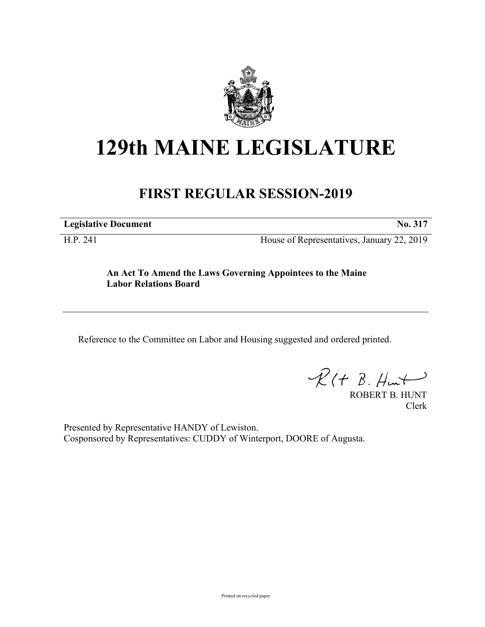

## **129th MAINE LEGISLATURE**

## **FIRST REGULAR SESSION-2019**

**Legislative Document No. 317**

H.P. 241 House of Representatives, January 22, 2019

**An Act To Amend the Laws Governing Appointees to the Maine Labor Relations Board**

Reference to the Committee on Labor and Housing suggested and ordered printed.

 $R(t B. Hmt)$ 

ROBERT B. HUNT Clerk

Presented by Representative HANDY of Lewiston. Cosponsored by Representatives: CUDDY of Winterport, DOORE of Augusta.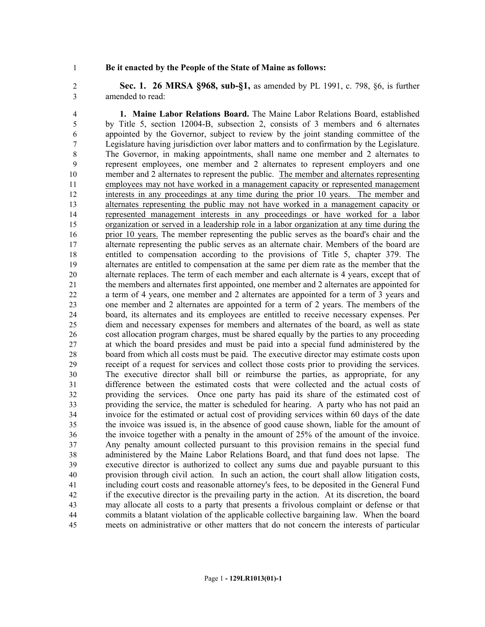## **Be it enacted by the People of the State of Maine as follows:**

 **Sec. 1. 26 MRSA §968, sub-§1,** as amended by PL 1991, c. 798, §6, is further amended to read:

 **1. Maine Labor Relations Board.** The Maine Labor Relations Board, established by Title 5, section 12004-B, subsection 2, consists of 3 members and 6 alternates appointed by the Governor, subject to review by the joint standing committee of the Legislature having jurisdiction over labor matters and to confirmation by the Legislature. The Governor, in making appointments, shall name one member and 2 alternates to represent employees, one member and 2 alternates to represent employers and one member and 2 alternates to represent the public. The member and alternates representing employees may not have worked in a management capacity or represented management interests in any proceedings at any time during the prior 10 years. The member and alternates representing the public may not have worked in a management capacity or represented management interests in any proceedings or have worked for a labor organization or served in a leadership role in a labor organization at any time during the prior 10 years. The member representing the public serves as the board's chair and the 17 alternate representing the public serves as an alternate chair. Members of the board are entitled to compensation according to the provisions of Title 5, chapter 379. The alternates are entitled to compensation at the same per diem rate as the member that the alternate replaces. The term of each member and each alternate is 4 years, except that of the members and alternates first appointed, one member and 2 alternates are appointed for a term of 4 years, one member and 2 alternates are appointed for a term of 3 years and one member and 2 alternates are appointed for a term of 2 years. The members of the board, its alternates and its employees are entitled to receive necessary expenses. Per diem and necessary expenses for members and alternates of the board, as well as state cost allocation program charges, must be shared equally by the parties to any proceeding at which the board presides and must be paid into a special fund administered by the board from which all costs must be paid. The executive director may estimate costs upon receipt of a request for services and collect those costs prior to providing the services. The executive director shall bill or reimburse the parties, as appropriate, for any difference between the estimated costs that were collected and the actual costs of providing the services. Once one party has paid its share of the estimated cost of providing the service, the matter is scheduled for hearing. A party who has not paid an invoice for the estimated or actual cost of providing services within 60 days of the date the invoice was issued is, in the absence of good cause shown, liable for the amount of the invoice together with a penalty in the amount of 25% of the amount of the invoice. Any penalty amount collected pursuant to this provision remains in the special fund administered by the Maine Labor Relations Board, and that fund does not lapse. The executive director is authorized to collect any sums due and payable pursuant to this provision through civil action. In such an action, the court shall allow litigation costs, including court costs and reasonable attorney's fees, to be deposited in the General Fund if the executive director is the prevailing party in the action. At its discretion, the board may allocate all costs to a party that presents a frivolous complaint or defense or that commits a blatant violation of the applicable collective bargaining law. When the board meets on administrative or other matters that do not concern the interests of particular